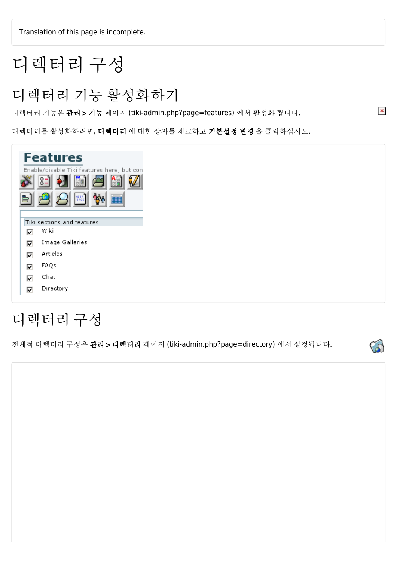Translation of this page is incomplete.

# 디렉터리 구성

디렉터리 기능 활성화하기

디렉터리 기능은 관리 > 기능 페이지 (tiki-admin.php?page=features) 에서 활성화 됩니다.

디렉터리를 활성화하려면, 디렉터리 에 대한 상자를 체크하고 기본설정 변경 을 클릭하십시오.

| is, | <b>Features</b><br>Enable/disable Tiki features here, but con<br>$0 =$<br>$0 =$<br>$\mathfrak{B}_0$<br><b>HETA</b><br>TAGS<br><b>IIII</b> |
|-----|-------------------------------------------------------------------------------------------------------------------------------------------|
|     | Tiki sections and features                                                                                                                |
| ⊡   | Wiki                                                                                                                                      |
| ⊡   | Image Galleries                                                                                                                           |
| ⊽   | Articles                                                                                                                                  |
| ⊽   | FAQs                                                                                                                                      |
| ⊽   | Chat                                                                                                                                      |
| ☑   | Directory                                                                                                                                 |

# 디렉터리 구성

전체적 디렉터리 구성은 관리 > 디렉터리 페이지 (tiki-admin.php?page=directory) 에서 설정됩니다.



 $\pmb{\times}$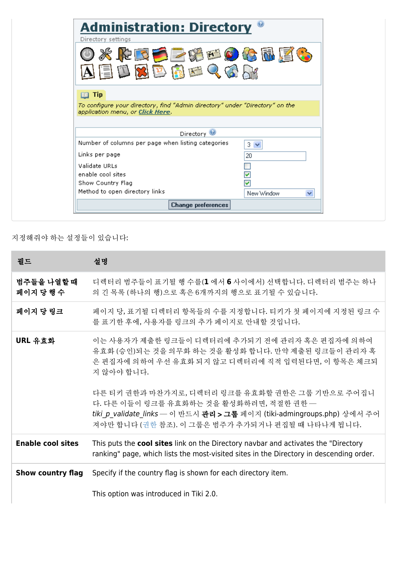| <b>Administration: Directory</b><br>Directory settings                                                                    |                 |
|---------------------------------------------------------------------------------------------------------------------------|-----------------|
| ※ドロラニメータには国<br>自国文艺商西人女                                                                                                   |                 |
| <b>Tip</b>                                                                                                                |                 |
|                                                                                                                           |                 |
|                                                                                                                           |                 |
| To configure your directory, find "Admin directory" under "Directory" on the<br>Directory $\bigcirc$                      |                 |
|                                                                                                                           | $3 \vee$        |
|                                                                                                                           | 20              |
| application menu, or Click Here.<br>Number of columns per page when listing categories<br>Links per page<br>Validate URLs |                 |
|                                                                                                                           |                 |
|                                                                                                                           |                 |
| enable cool sites<br>Show Country Flag<br>Method to open directory links                                                  | New Window<br>× |

지정해줘야 하는 설정들이 있습니다:

| 필드                       | 설명                                                                                                                                                                                                                        |
|--------------------------|---------------------------------------------------------------------------------------------------------------------------------------------------------------------------------------------------------------------------|
| 범주들을 나열할 때<br>페이지 당 행 수  | 디렉터리 범주들이 표기될 행 수를(1 에서 6 사이에서) 선택합니다. 디렉터리 범주는 하나<br>의 긴 목록 (하나의 행)으로 혹은 6개까지의 행으로 표기될 수 있습니다.                                                                                                                           |
| 페이지 당 링크                 | 페이지 당, 표기될 디렉터리 항목들의 수를 지정합니다. 티키가 첫 페이지에 지정된 링크 수<br>를 표기한 후에, 사용자를 링크의 추가 페이지로 안내할 것입니다.                                                                                                                                |
| URL 유효화                  | 이는 사용자가 제출한 링크들이 디렉터리에 추가되기 전에 관리자 혹은 편집자에 의하여<br>유효화 (승인)되는 것을 의무화 하는 것을 활성화 합니다. 만약 제출된 링크들이 관리자 혹<br>은 편집자에 의하여 우선 유효화 되지 않고 디렉터리에 직적 입력된다면, 이 항목은 체크되<br>지 않아야 합니다.                                                   |
|                          | 다른 티키 권한과 마찬가지로, 디렉터리 링크를 유효화할 권한은 그룹 기반으로 주어집니<br>다. 다른 이들이 링크를 유효화하는 것을 활성화하려면, 적절한 권한 -<br>tiki p validate links - 이 반드시 관리 > 그룹 페이지 (tiki-admingroups.php) 상에서 주어<br>져야만 합니다 (권한 참조). 이 그룹은 범주가 추가되거나 편집될 때 나타나게 됩니다. |
| <b>Enable cool sites</b> | This puts the cool sites link on the Directory navbar and activates the "Directory<br>ranking" page, which lists the most-visited sites in the Directory in descending order.                                             |
| <b>Show country flag</b> | Specify if the country flag is shown for each directory item.                                                                                                                                                             |
|                          | This option was introduced in Tiki 2.0.                                                                                                                                                                                   |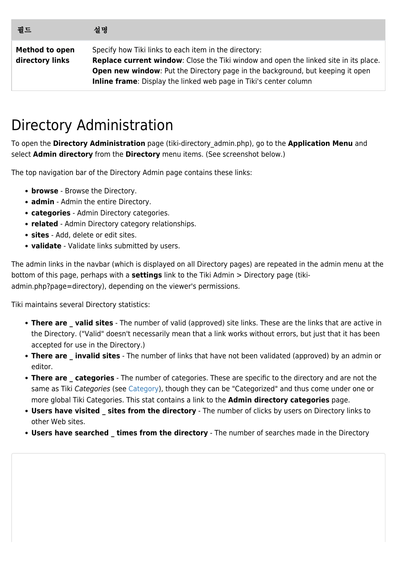| 필드                                       | 설명                                                                                                                                                                                                                                                                                                                        |
|------------------------------------------|---------------------------------------------------------------------------------------------------------------------------------------------------------------------------------------------------------------------------------------------------------------------------------------------------------------------------|
| <b>Method to open</b><br>directory links | Specify how Tiki links to each item in the directory:<br><b>Replace current window:</b> Close the Tiki window and open the linked site in its place.<br><b>Open new window:</b> Put the Directory page in the background, but keeping it open<br><b>Inline frame:</b> Display the linked web page in Tiki's center column |

# Directory Administration

To open the **Directory Administration** page (tiki-directory\_admin.php), go to the **Application Menu** and select **Admin directory** from the **Directory** menu items. (See screenshot below.)

The top navigation bar of the Directory Admin page contains these links:

- **browse** Browse the Directory.
- **admin** Admin the entire Directory.
- **categories** Admin Directory categories.
- **related** Admin Directory category relationships.
- **sites** Add, delete or edit sites.
- **validate** Validate links submitted by users.

The admin links in the navbar (which is displayed on all Directory pages) are repeated in the admin menu at the bottom of this page, perhaps with a **settings** link to the Tiki Admin > Directory page (tikiadmin.php?page=directory), depending on the viewer's permissions.

Tiki maintains several Directory statistics:

- **There are valid sites** The number of valid (approved) site links. These are the links that are active in the Directory. ("Valid" doesn't necessarily mean that a link works without errors, but just that it has been accepted for use in the Directory.)
- **There are invalid sites** The number of links that have not been validated (approved) by an admin or editor.
- **There are categories** The number of categories. These are specific to the directory and are not the same as Tiki Categories (see [Category](https://doc.tiki.org/Category)), though they can be "Categorized" and thus come under one or more global Tiki Categories. This stat contains a link to the **Admin directory categories** page.
- **Users have visited \_ sites from the directory** The number of clicks by users on Directory links to other Web sites.
- **Users have searched \_ times from the directory** The number of searches made in the Directory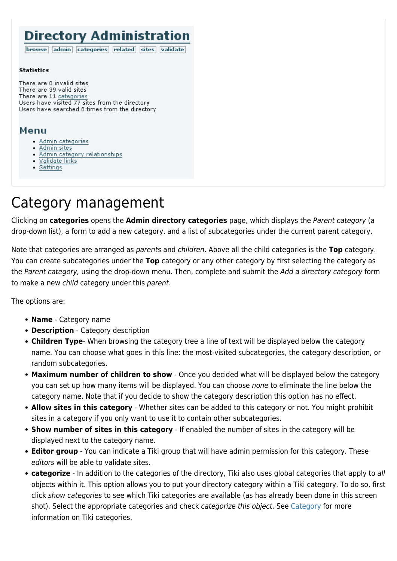#### **Directory Administration**

browse admin categories related sites validate

#### **Statistics**

There are 0 invalid sites There are 39 valid sites There are 11 categories Users have visited 77 sites from the directory Users have searched 8 times from the directory

#### Menu

- · Admin categories
- Admin sites
- Admin category relationships
- Validate links
- $\bullet$  Settings

### Category management

Clicking on **categories** opens the **Admin directory categories** page, which displays the Parent category (a drop-down list), a form to add a new category, and a list of subcategories under the current parent category.

Note that categories are arranged as parents and children. Above all the child categories is the **Top** category. You can create subcategories under the **Top** category or any other category by first selecting the category as the Parent category, using the drop-down menu. Then, complete and submit the Add a directory category form to make a new child category under this parent.

The options are:

- **Name** Category name
- **Description** Category description
- **Children Type** When browsing the category tree a line of text will be displayed below the category name. You can choose what goes in this line: the most-visited subcategories, the category description, or random subcategories.
- **Maximum number of children to show** Once you decided what will be displayed below the category you can set up how many items will be displayed. You can choose none to eliminate the line below the category name. Note that if you decide to show the category description this option has no effect.
- **Allow sites in this category** Whether sites can be added to this category or not. You might prohibit sites in a category if you only want to use it to contain other subcategories.
- **Show number of sites in this category** If enabled the number of sites in the category will be displayed next to the category name.
- **Editor group** You can indicate a Tiki group that will have admin permission for this category. These editors will be able to validate sites.
- **categorize** In addition to the categories of the directory, Tiki also uses global categories that apply to all objects within it. This option allows you to put your directory category within a Tiki category. To do so, first click show categories to see which Tiki categories are available (as has already been done in this screen shot). Select the appropriate categories and check categorize this object. See [Category](https://doc.tiki.org/Category) for more information on Tiki categories.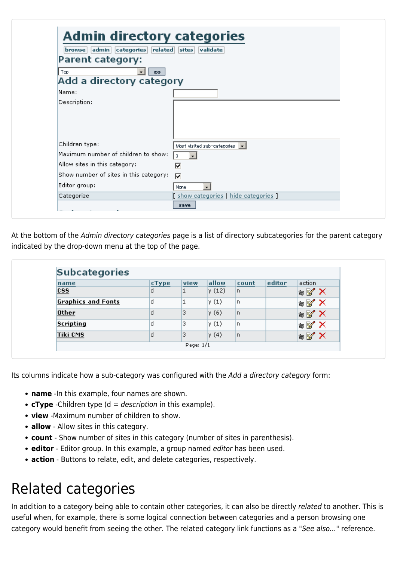| related<br>admin categories<br> browse | validate<br>$ $ sites                       |
|----------------------------------------|---------------------------------------------|
| Parent category:                       |                                             |
| Top<br>EO.                             |                                             |
| Add a directory category               |                                             |
| Name:                                  |                                             |
| Description:                           |                                             |
|                                        |                                             |
| Children type:                         | Most visited sub-categories $\  \bullet \ $ |
| Maximum number of children to show:    | 3                                           |
| Allow sites in this category:          | ⊽                                           |
| Show number of sites in this category: | ⊽                                           |
| Editor group:                          | None                                        |
| Categorize                             | [ show categories   hide categories ]       |

At the bottom of the Admin directory categories page is a list of directory subcategories for the parent category indicated by the drop-down menu at the top of the page.

| name                      | cType | view | allow | count | editor | action                            |
|---------------------------|-------|------|-------|-------|--------|-----------------------------------|
| $\overline{\text{css}}$   | o     | 1    | y(12) | n.    |        | $\ast$ X                          |
| <b>Graphics and Fonts</b> | Id    |      | y(1)  | n     |        | $\parallel$ $\mathbb{Z}$ $\times$ |
| <b>Other</b>              | Id    | 3    | y (6) | n.    |        | $\parallel$ $\mathbb{Z}$ $\times$ |
| <b>Scripting</b>          | ld    | з.   | y(1)  | n     |        | $\parallel$ $\mathbb{Z}$ $\times$ |
| <b>Tiki CMS</b>           | Id    | 3    | y(4)  | n.    |        | $\ast$ X                          |

Its columns indicate how a sub-category was configured with the Add a directory category form:

- **name** -In this example, four names are shown.
- **cType** -Children type (d = description in this example).
- **view** -Maximum number of children to show.
- **allow** Allow sites in this category.
- **count** Show number of sites in this category (number of sites in parenthesis).
- **editor** Editor group. In this example, a group named editor has been used.
- **action** Buttons to relate, edit, and delete categories, respectively.

### Related categories

In addition to a category being able to contain other categories, it can also be directly related to another. This is useful when, for example, there is some logical connection between categories and a person browsing one category would benefit from seeing the other. The related category link functions as a "See also..." reference.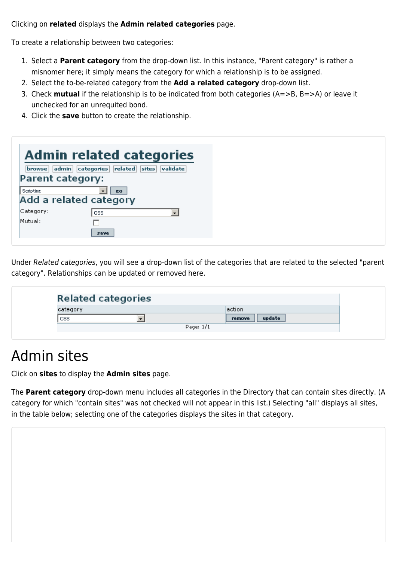Clicking on **related** displays the **Admin related categories** page.

To create a relationship between two categories:

- 1. Select a **Parent category** from the drop-down list. In this instance, "Parent category" is rather a misnomer here; it simply means the category for which a relationship is to be assigned.
- 2. Select the to-be-related category from the **Add a related category** drop-down list.
- 3. Check **mutual** if the relationship is to be indicated from both categories (A=>B, B=>A) or leave it unchecked for an unrequited bond.
- 4. Click the **save** button to create the relationship.

| admin<br>browse  <br><b>Parent category:</b> | <b>Admin related categories</b><br>categories related<br>validate<br>sites |
|----------------------------------------------|----------------------------------------------------------------------------|
| Scripting                                    | KO.<br>Add a related category                                              |
| Category:                                    | CSS.<br>$\blacktriangledown$                                               |
| Mutual:                                      |                                                                            |
|                                              | save                                                                       |

Under Related categories, you will see a drop-down list of the categories that are related to the selected "parent category". Relationships can be updated or removed here.

| <b>Related categories</b> |                  |
|---------------------------|------------------|
| category                  | action           |
| <b>CSS</b>                | update<br>remove |
|                           | Page: 1/1        |

### Admin sites

Click on **sites** to display the **Admin sites** page.

The **Parent category** drop-down menu includes all categories in the Directory that can contain sites directly. (A category for which "contain sites" was not checked will not appear in this list.) Selecting "all" displays all sites, in the table below; selecting one of the categories displays the sites in that category.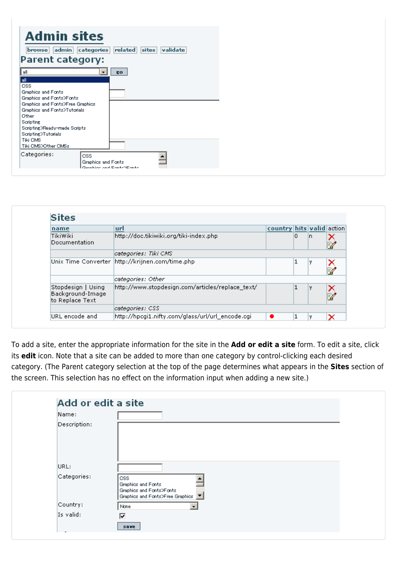| <b>Admin sites</b><br>browse<br><b>Parent category:</b>                                                                                                                                      | admin categories                 | validate<br> related <br>sites |  |
|----------------------------------------------------------------------------------------------------------------------------------------------------------------------------------------------|----------------------------------|--------------------------------|--|
| ia∥<br><b><i><u>Prosessore</u></i></b><br>l all<br><b>CSS</b><br>Graphics and Fonts<br>Graphics and Fonts>Fonts<br>Graphics and Fonts>Free Graphics<br>Graphics and Fonts>Tutorials<br>Other |                                  | EO.                            |  |
| Scripting<br>Scripting>Ready-made Scripts<br>Scripting>Tutorials<br>Tiki CMS<br>Tiki CMS>Other CMSs                                                                                          |                                  |                                |  |
| Categories:                                                                                                                                                                                  | <b>CSS</b><br>Graphics and Fonts | Denskies and EasteNEaste.      |  |

| name                                                      | url                                              | country hits valid action |   |    |        |
|-----------------------------------------------------------|--------------------------------------------------|---------------------------|---|----|--------|
| <b>Tiki</b> Wiki<br>Documentation                         | http://doc.tikiwiki.org/tiki-index.php           |                           | 0 | In | B,     |
|                                                           | categories: Tiki CMS                             |                           |   |    |        |
|                                                           | Unix Time Converter  http://krijnen.com/time.php |                           |   |    | ×<br>Ż |
|                                                           | categories: Other                                |                           |   |    |        |
| Stopdesign   Using<br>Background-Image<br>to Replace Text | http://www.stopdesign.com/articles/replace_text/ |                           |   |    | N<br>B |
|                                                           | categories: CSS                                  |                           |   |    |        |
| URL encode and                                            | http://hpcgi1.nifty.com/glass/url/url_encode.cgi | ٠                         |   |    | ×      |

To add a site, enter the appropriate information for the site in the **Add or edit a site** form. To edit a site, click its **edit** icon. Note that a site can be added to more than one category by control-clicking each desired category. (The Parent category selection at the top of the page determines what appears in the **Sites** section of the screen. This selection has no effect on the information input when adding a new site.)

| Name:        |                                                                                              |
|--------------|----------------------------------------------------------------------------------------------|
| Description: |                                                                                              |
|              |                                                                                              |
| URL:         |                                                                                              |
| Categories:  | CSS.<br>Graphics and Fonts<br>Graphics and Fonts>Fonts<br>Graphics and Fonts>Free Graphics T |
| Country:     | None                                                                                         |
| Is valid:    | ◸                                                                                            |